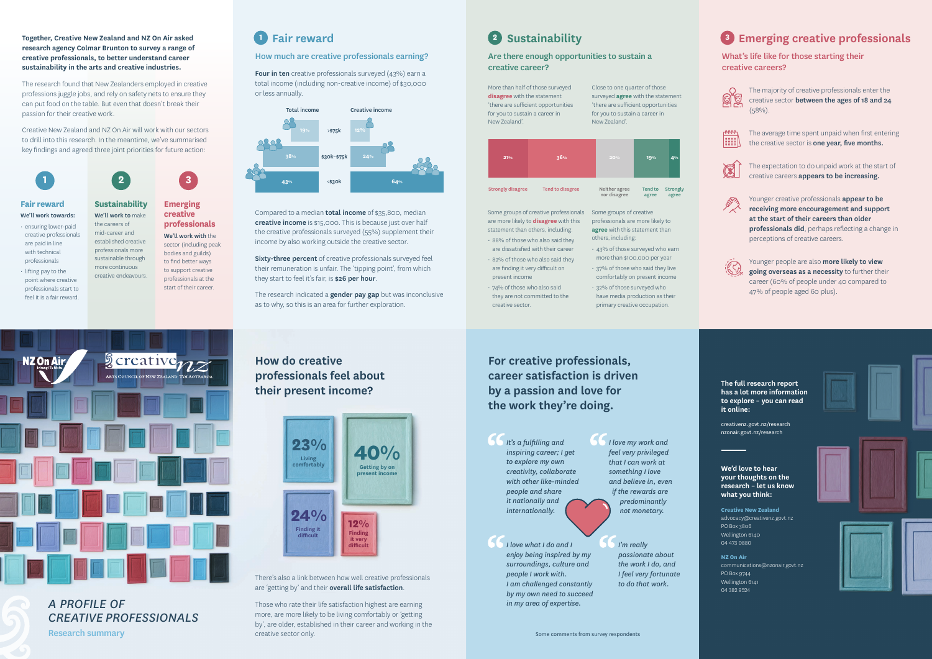

*A PROFILE OF CREATIVE PROFESSIONALS*

Research summary

## Together, Creative New Zealand and NZ On Air asked **Fair reward Pair and Constant Constant Constant Constant Constant Constant Constant Constant Constant Constant Constant Constant Constant Constant Constant Constant Con**

**NZ On Air** communications@nzonair.govt.nz PO Box 9744 Wellington 6141  $04$  382 9524





**Creative New Zealand**  advocacy@creativenz.govt.nz PO Box 3806 Wellington 6140 04 473 0880

#### **We'd love to hear your thoughts on the research – let us know what you think:**

## **How do creative professionals feel about their present income?**

**research agency Colmar Brunton to survey a range of creative professionals, to better understand career sustainability in the arts and creative industries.**

Four in ten creative professionals surveyed (43%) earn a total income (including non-creative income) of \$30,000 or less annually.

Compared to a median **total income** of \$35,800, median creative income is \$15,000. This is because just over half the creative professionals surveyed (55%) supplement their income by also working outside the creative sector.

Sixty-three percent of creative professionals surveyed feel their remuneration is unfair. The 'tipping point', from which they start to feel it's fair, is \$26 per hour.

The research found that New Zealanders employed in creative professions juggle jobs, and rely on safety nets to ensure they can put food on the table. But even that doesn't break their passion for their creative work.

> The research indicated a **gender pay gap** but was inconclusive as to why, so this is an area for further exploration.

Creative New Zealand and NZ On Air will work with our sectors to drill into this research. In the meantime, we've summarised key findings and agreed three joint priorities for future action:

> There's also a link between how well creative professionals are 'getting by' and their overall life satisfaction.

#### How much are creative professionals earning?

**Sustainability** We'll work to make the careers of mid-career and established creative **Emerging creative professionals** We'll work with the

#### Are there enough opportunities to sustain a creative career?

What's life like for those starting their creative careers?



**For creative professionals, career satisfaction is driven by a passion and love for the work they're doing.**

**The full research report has a lot more information to explore – you can read it online:** 

Those who rate their life satisfaction highest are earning more, are more likely to be living comfortably or 'getting by', are older, established in their career and working in the creative sector only.

## **2** Sustainability

The majority of creative professionals enter the creative sector between the ages of 18 and 24  $(58%)$ .



The average time spent unpaid when first entering the creative sector is one year, five months.





*I love my work and feel very privileged that I can work at something I love and believe in, even if the rewards are predominantly not monetary.*

Younger creative professionals appear to be receiving more encouragement and support at the start of their careers than older professionals did, perhaps reflecting a change in perceptions of creative careers.



Younger people are also more likely to view going overseas as a necessity to further their career (60% of people under 40 compared to 47% of people aged 60 plus).

*It's a fulfilling and inspiring career; I get to explore my own creativity, collaborate with other like-minded people and share it nationally and internationally.*

> *I'm really passionate about the work I do, and I feel very fortunate to do that work.*

*I love what I do and I enjoy being inspired by my surroundings, culture and people I work with. I am challenged constantly by my own need to succeed in my area of expertise.*

creativenz.govt.nz/research nzonair.govt.nz/research

## **Fair reward**

- We'll work towards: • ensuring lower-paid creative professionals are paid in line with technical professionals
- lifting pay to the point where creative professionals start to feel it is a fair reward.

professionals more sustainable through more continuous creative endeavours. sector (including peak bodies and guilds) to find better ways to support creative professionals at the start of their career.









Some groups of creative professionals are more likely to **disagree** with this statement than others, including:

- 88% of those who also said they are dissatisfied with their career
- 82% of those who also said they are finding it very difficult on present income
- 74% of those who also said they are not committed to the creative sector.

Some groups of creative professionals are more likely to **agree** with this statement than others, including:

- 43% of those surveyed who earn more than \$100,000 per year
- 37% of those who said they live comfortably on present income
- 32% of those surveyed who have media production as their primary creative occupation.

Close to one quarter of those surveyed **agree** with the statement 'there are sufficient opportunities for you to sustain a career in New Zealand'.

> The expectation to do unpaid work at the start of creative careers appears to be increasing.



More than half of those surveyed **disagree** with the statement 'there are sufficient opportunities for you to sustain a career in New Zealand'.